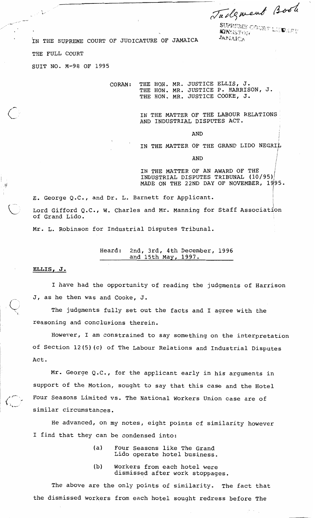**cfiy.-. <sup>4</sup>:+':::j\$\$:?7** ??,.\*, .--"? **y!>** , ., . "." . , . **r** .; , *\$4,* ,, KlPs:? .;iaL;r.?, **y:,i ,.L.,** , I. ;:, ;: .?.

**j** 

IN THE SUPREME COURT OF JUDICATURE OF JAMAICA *JAPIAICA* 

THE FULL COURT

 $\sim$ 

SUIT NO. M-98 OF 1995

CORAM: THE HON. MR. JUSTICE ELLIS, J. THE HON. MR. JUSTICE P. HARRISON, J. THE HON. MR. JUSTICE COOKE, J.

> IN THE MATTER OF THE LABOUR RELATIONS AND INDUSTRIAL DISPUTES ACT.

> > **AND**

IN THE MATTER OF THE GRAND LIDO NEGRIL

 $\mathbf{AND}$ 

IN THE MATTER OF AN AWARD OF THE INDUSTRIAL DISPUTES TRIBUNAL (10/95); MADE ON THE 22ND DAY OF NOVEMBER, 1995.

E. George Q.C., and Dr. L. Barnett for Applicant.

Lord Gifford Q.C., W. Charles and Mr. Manning for Staff Association of Grand Lido.

Mr. L. Robinson for Industrial Disputes Tribunal.

Heard: 2nd, 3rd, 4th December, 1996 and 15th May, 1997.

**ELLIS, J.** 

小車

I have had the opportunity of reading the judgments of Harrison J, as he then was and Cooke, J.

The judgments fully set out the facts and I agree with the reasoning and conclusions therein.

However, I am constrained to say something on the interpretation of Section 12(5)(c) of The Labour Relations and Industrial Disputes Act.

Mr. George Q.C., for the applicant early in his arguments in support of the Motion, sought to say that this case and the Hotel Four Seasons Limited vs. The National Workers Union case are of similar circumstances.

He advanced, on my notes, eight points of similarity however I find that they can be condensed into:

- (a) Four Seasons like The Grand Lido operate hotel business.
- (b) Workers from each hotel were dismissed after work stoppages.

The above are the only points of similarity. The fact that the dismissed workers from each hotel sought redress before The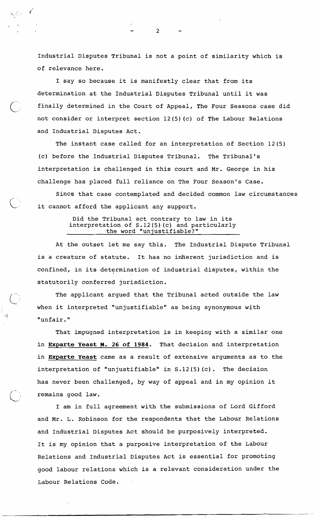Industrial Disputes Tribunal is not a point of similarity which is of relevance here.

I say so because it is manifestly clear that from its determination at the Industrial Disputes Tribunal until it was finally determined in the Court of Appeal, The Four Seasons case did not consider or interpret section 12(5)(c) of The Labour Relations and Industrial Disputes Act.

The instant case called for an interpretation of Section 12(5) (c) before the Industrial Disputes Tribunal. The Tribunal's interpretation is challenged in this court and Mr. George in his challenge has placed full reliance on The Four Season's Case.

Since that case contemplated and decided common law circumstances it cannot afford the applicant any support.

## Did the Tribunal act contrary to law in its interpretation of S. 12 (5) (c) and particularly the word "unjustifiable?"

At the outset let me say this. The Industrial Dispute Tribunal is a creature of statute. It has no inherent jurisdiction and is confined, in its determination of industrial disputes, within the statutorily conferred jurisdiction.

The applicant argued that the Tribunal acted outside the law when it interpreted "unjustifiable" as being synonymous with "unfair."

 $\bigcirc$ 

 $\bigcirc$ 

 $\mathcal{L}_{\text{max}} = \mathbf{f}^{\mathsf{T}}$ 

-

That impugned interpretation is in keeping with a similar one in **Exparte Yeast M. 26 of** 1984. That decision and interpretation in **Exparte Yeast** came as a result of extensive arguments as to the interpretation of "unjustifiable" in S. 12 (5) (c) . The decision has never been challenged, by way of appeal and in my opinion it remains good law.

I am in full agreement with the submissions of Lord Gifford and Mr. L. Robinson for the respondents that the Labour Relations and Industrial Disputes Act should be purposively interpreted. It is my opinion that a purposive interpretation of the Labour Relations and Industrial Disputes Act is essential for promoting good labour relations which is a relevant consideration under the Labour Relations Code.

 $\overline{2}$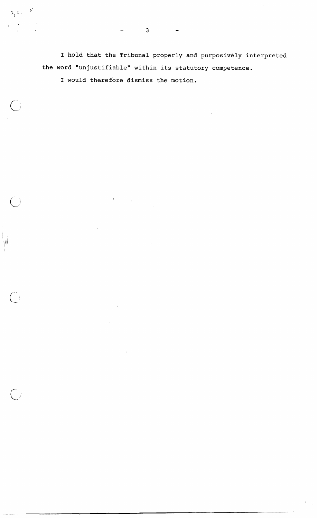I hold that the Tribunal properly and purposively interpreted the word "unjustifiable" within its statutory competence.

 $\frac{1}{2}$ 

I would therefore dism'iss the motion.

 $\mathbf{r}$ 

 $\mathbf{x}_i$  t.

 $\left( \begin{array}{c} \cdot \end{array} \right)$ 

 $\left\vert \cdot\right\vert$ 河川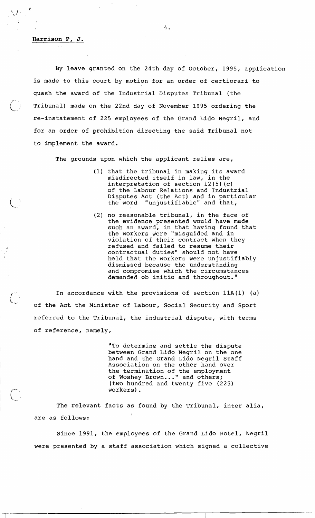## **Harrison P, J.**

 $\bigcirc$  ;

{'

By leave granted on the 24th day of October, 1995, application is made to this court by motion for an order of certiorari to quash the award of the Industrial Disputes Tribunal (the Tribunal) made on the 22nd day of November 1995 ordering the re-instatement of 225 employees of the Grand Lido Negril, and for an order of prohibition directing the said Tribunal not to implement the award.

The grounds upon which the applicant relies are,

- (1) that the tribunal in making its award misdirected itself in law, in the interpretation of section 12(5) (c) of the Labour Relations and Industrial Disputes Act (the Act) and in particular the word "unjustifiable" and that,
- no reasonable tribunal, in the face of the evidence presented would have made such an award, in that having found that the workers were "misguided and in violation of their contract when they refused and failed to resume their contractual duties" should not have held that the workers were unjustifiably dismissed because the understanding and compromise which the circumstances demanded ob initio and throughout."

In accordance with the provisions of section  $11A(1)$  (a) of the Act the Minister of Labour, Social Security and Sport referred to the Tribunal, the industrial dispute, with terms of reference, namely,

> "To determine and settle the dispute between Grand Lido Negril on the one hand and the Grand Lido Negril Staff Association on the other hand over the termination of the employment of Woshey Brown..." and others; (two hundred and twenty five (225) workers).

The relevant facts as found by the Tribunal, inter alia, are as follows:

Since 1991, the employees of the Grand Lido Hotel, Negril were presented by a staff association which signed a collective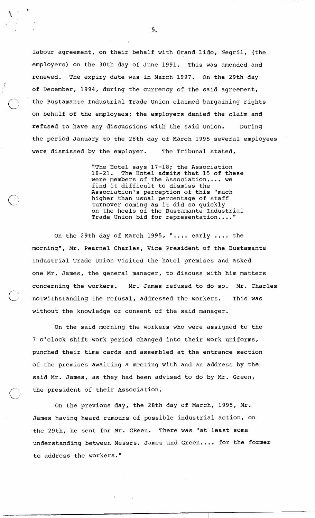labour agreement, on their behalf with Grand Lido, Negril, (the employers) on the 30th day of June 1991. This was amended and renewed. The expiry date was in March 1997. On the 29th day of December, 1994, during the currency of the said agreement, the Bustamante Industrial Trade Union claimed bargaining rights on behalf of the employees; the employers denied the claim and refused to have any discussions with the said Union. During the period January to the 28th day of March 1995 several employees were dismissed by the employer. The Tribunal stated,

 $\left| \cdot \right|$ 

"The Hotel says  $17-18$ ; the Association<br> $18-21$ . The Hotel admits that 15 of the The Hotel admits that 15 of these were members of the Association.... we find it difficult to dismiss the Association's perception of this "much higher than usual percentage of staff turnover coming as it did so quickly on the heels of the Bustamante Industrial Trade Union bid for representation ...."

On the 29th day of March 1995, ".... early .... the morning", Mr. Pearnel Charles, Vice President of the Bustamante Industrial Trade Union visited the hotel premises and asked one Mr. James, the general manager, to discuss with him matters concerning the workers. Mr. James refused to do so. Mr. Charles<br>notwithstanding the refusal, addressed the workers. This was without the knowledge or consent of the said manager.

On the said morning the workers who were assigned to the 7 o'clock shift work period changed into their work uniforms, punched their time cards and assembled at the entrance section of the premises awaiting a meeting with and an address by the said Mr. James, as they had been advised to do by Mr. Green, the president of their Association.

On the previous day, the 28th day of March, 1995, Mr. James having heard rumours of possible industrial action, on the 29th, he sent for Mr. GReen. There was "at least some understanding between Messrs. James and Green.... for the former to address the workers."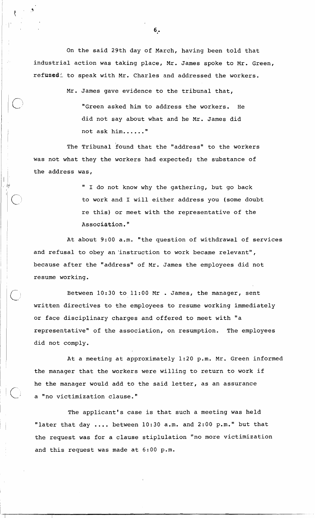On the said 29th day of March, having been told that industrial action was taking place, Mr. James spoke to Mr. Green, refused: to speak with Mr. Charles and addressed the workers.

Mr. James gave evidence to the tribunal that,

"Green asked him to address the workers. He did not say about what and he Mr. James did not ask him......"

The Tribunal found that the "address" to the workers was not what they the workers had expected; the substance of the address was,

> " I do not know why the gathering, but go back to work and I will either address you (some doubt re this) or meet with the representative of the Association."

At about 9:00 a.m. "the question of withdrawal of services and refusal to obey an'instruction to work became relevant", because after the "address" of Mr. James the employees did not resume working.

Between 10:30 to 11:OO Mr . James, the manager, sent written directives to the employees to resume working immediately or face disciplinary charges and offered to meet with "a representative" of the association, on resumption. The employees did not comply.

At a meeting at approximately 1:20 p.m. Mr. Green informed the manager that the workers were willing to return to work if he the manager would add to the said letter, as an assurance a "no victimization clause."

The applicant's case is that such a meeting was held "later that day .... between 10:30 a.m. and 2:00 p.m." but that the request was for a clause stiplulation "no more victimization and this request was made at 6:00 p.m.

 $6<sub>2</sub>$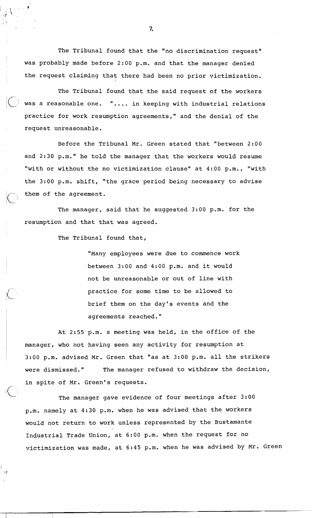The Tribunal found that the "no discrimination request" was probably made before 2:00 p.m. and that the manager denied the request claiming that there had been no prior victimization.

The Tribunal found that the said request of the workers was a reasonable one. ".... in keeping with industrial relations practice for work resumption agreements," and the denial of the request unreasonable.

Before the Tribunal Mr. Green stated that "between 2:00 and 2:30 p.m." he told the manager that the workers would resume "with or without the no victimization clause" at 4:00 p.m., "with the 3:00 p.m. shift, "the grace period being necessary to advise them of the agreement.

The manager, said that he suggested 3:00 p.m. for the resumption and that that was agreed.

The Tribunal found that,

"Many employees were due to commence work between 3:00 and 4:00 p.m. and it would not be unreasonable or out of line with practice for some time to be allowed to brief them on the day's events and the agreements reached. "

At 2:55 p.m. a meeting was held, in the office of the manager, who not having seen any activity for resumption at 3:00 p.m. advised Mr. Green that "as at 3:00 p.m. all the strikers were dismissed." The manager refused to withdraw the decision, in spite of Mr. Green's requests.

The manager gave evidence of four meetings after 3:00 p.m. namely at 4:30 p.m. when he was advised that the workers would not return to work unless represented by the Bustamante Industrial Trade Union, at 6:00 p.m. when the request for no victimization was made, at 6:45 p.m. when he was advised by Mr. Green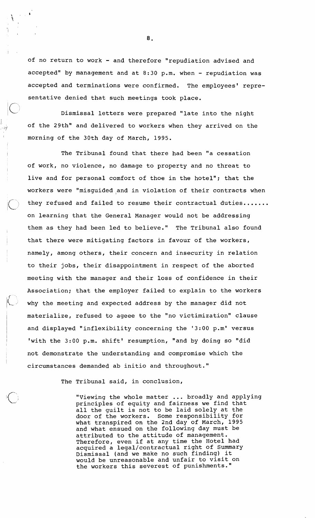of no return to work - and therefore "repudiation advised and accepted" by management and at 8:30 p.m. when - repudiation was accepted and terminations were confirmed. The employees' representative denied that such meetings took place.

Dismissal letters were prepared "late into the night of the 29th" and delivered to workers when they arrived on the morning of the 30th day of March, 1995.

 $\mathbb{R}_{\geq 0}$ 

f

The Tribunal found that there had been "a cessation of work, no violence, no damage to property and no threat to live and for personal comfort of thoe in the hotel"; that the workers were "misguided and in violation of their contracts when they refused and failed to resume their contractual duties....... on learning that the General Manager would not be addressing them as they had been led to believe." The Tribunal also found that there were mitigating factors in favour of the workers, namely, among others, their concern and insecurity in relation to their jobs, their disappointment in respect of the aborted meeting with the manager and their loss of confidence in their Association; that the employer failed to explain to the workers why the meeting and expected address by the manager did not materialize, refused to ageee to the "no victimization" clause and displayed "inflexibility concerning the '3:00 p.m' versus 'with the 3:00 p.m. shift' resumption, "and by doing so "did not demonstrate the understanding and compromise which the circumstances demanded ab initio and throughout."

The Tribunal said, in conclusion,

"Viewing the whole matter ... broadly and applying principles of equity and fairness we find that all the guilt is not to be laid solely at the door of the workers. Some responsibility for what transpired on the 2nd day of March, 1995 and what ensued on the following day must be attributed to the attitude of management. Therefore, even if at any time the Hotel had acquired a legal/contractual right of Summary Dismissal (and we make no such finding) it would be unreasonable and unfair to visit on the workers this severest of punishments."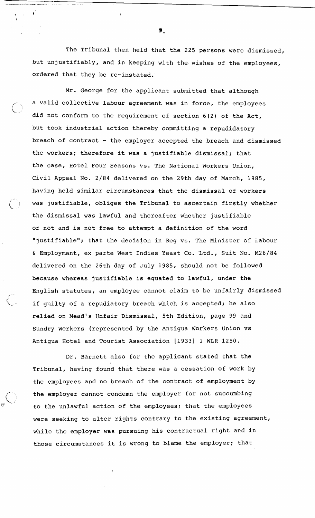The Tribunal then held that the 225 persons were dismissed, but unjustifiably, and in keeping with the wishes of the employees, ordered that they be re-instated.

Mr. George for the applicant submitted that although a valid collective labour agreement was in force, the employees did not conform to the requirement of section 6(2) of the Act, but took industrial action thereby committing a repudidatory breach of contract - the employer accepted the breach and dismissed the workers; therefore it was a justifiable dismissal; that the case, Hotel Four Seasons vs. The National Workers Union, Civil Appeal No. 2/84 delivered on the 29th day of March, 1985, having held similar circumstances that the dismissal of workers was justifiable, obliges the Tribunal to ascertain firstly whether the dismissal was lawful and thereafter whether justifiable or not and is not free to attempt a definition of the word "justifiable"; that the decision in Reg vs. The Minister of Labour & Employment, ex parte West Indies Yeast Co. Ltd., Suit No. M26184 delivered on the 26th day of July 1985, should not be followed because whereas justifiable is equated to lawful, under the English statutes, an employee cannot claim to be unfairly dismissed if guilty of a repudiatory breach which is accepted; he also relied on Mead's Unfair Dismissal, 5th Edition, page 99 and Sundry Workers (represented by the Antigua Workers union vs Antigua Hotel and Tourist Association [1933] 1 WLR 1250.

Dr. Barnett also for the applicant stated that the Tribunal, having found that there was a cessation of work by the employees and no breach of the contract of employment by the employer cannot condemn the employer for not succumbing to the unlawful action of the employees; that the employees were seeking to alter rights contrary to the existing agreement, while the employer was pursuing his contractual right and in those circumstances it is wrong to blame the employer; that

f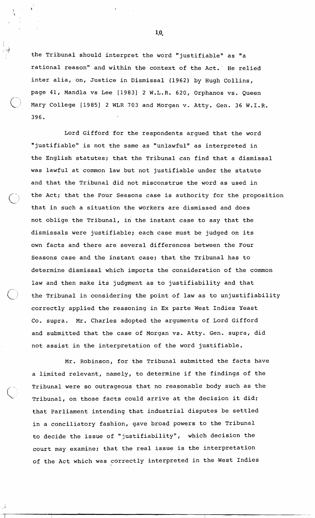the Tribunal should interpret the word "justifiable" as "a rational reason" and within the context of the Act. He relied inter alia, on, Justice in Dismissal (1962) by Hugh Collins, page 41, Mandla vs Lee [1983] 2 W.L.R. 620, Orphanos vs. Queen Mary College [1985] 2 WLR 703 and Morgan v. Atty. Gen. 36 W.I.R. 396.

 $\mathbb{R}_{\geq 0}$ 

Lord Gifford for the respondents argued that the word "justifiable" is not the same as "unlawful" as interpreted in the English statutes; that the Tribunal can find that a dismissal was lawful at common law but not justifiable under the statute and that the Tribunal did not misconstrue the word as used in the Act; that the Four Seasons case is authority for the proposition that in such a situation the workers are dismissed and does not oblige the Tribunal, in the instant case to say that the dismissals were justifiable; each case must be judged on its own facts and there are several differences between the Four Seasons case and the instant case; that the Tribunal has to determine dismissal which imports the consideration of the common law and then make its judgment as to justifiability and that the Tribunal in considering the point of law as to unjustifiability correctly applied the reasoning in Ex parte West Indies Yeast Co. supra. Mr. Charles adopted the arguments of Lord Gifford and submitted that the case of Morgan vs. Atty. Gen. supra, did not assist in the interpretation of the word justifiable.

Mr. Robinson, for the Tribunal submitted the facts have a limited relevant, namely, to determine if the findings of the Tribunal were so outrageous that no reasonable body such as the Tribunal, on those facts could arrive at the decision it did; that Parliament intending that industrial disputes be settled in a conciliatory fashion, gave broad powers to the Tribunal to decide the issue of "justifiability", which decision the court may examine; that the real issue is the interpretation of the Act which was correctly interpreted in the West Indies

 $1,0$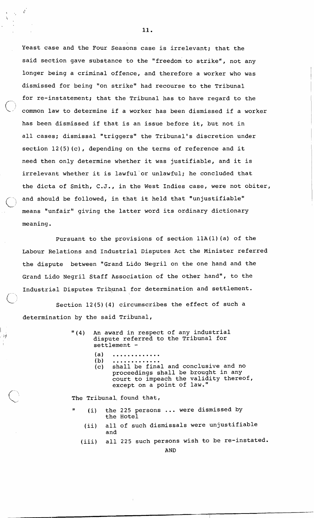least case and the Four Seasons case is irrelevant; that the said section gave substance to the "freedom to strike", not any longer being a criminal offence, and therefore a worker who was dismissed for being "on strike" had recourse to the Tribunal for re-instatement; that the Tribunal has to have regard to the common law to determine if a worker has been dismissed if a worker has been dismissed if that is an issue before it, but not in all cases; dismissal "triggers" the Tribunal's discretion under section 12(5)(c), depending on the terms of reference and it need then only determine whether it was justifiable, and it is irrelevant whether it is lawful'or unlawful; he concluded that the dicta of Smith, C.J., in the West Indies case, were not obiter, and should be followed, in that it held that "unjustifiable" means "unfair" giving the latter word its ordinary dictionary meaning.

Pursuant to the provisions of section llA(l)(a) of the Labour Relations and Industrial Disputes Act the Minister referred the dispute between "Grand Lido Negril on the one hand and the Grand Lido Negril Staff Association of the other hand", to the Industrial Disputes Tribunal for determination and settlement.

Section  $12(5)$  (4) circumscribes the effect of such a determination by the said Tribunal,

- "(4) An award in respect of any industrial dispute referred to the Tribunal for settlement -
	-
	- (a) ............<br>(b) ............<br>(c) shall be final and conclusive and no proceedings shall be brought in any
		- court to impeach the validity thereof, except on a point of law."

The Tribunal, found that,

- $(i)$  the 225 persons ... were dismissed by the Hotel
- (ii) all of such dismissals were unjustifiable and
- (iii) all 225 such persons wish to be re-instated.

AND

 $\mathbf{r}$ 

い地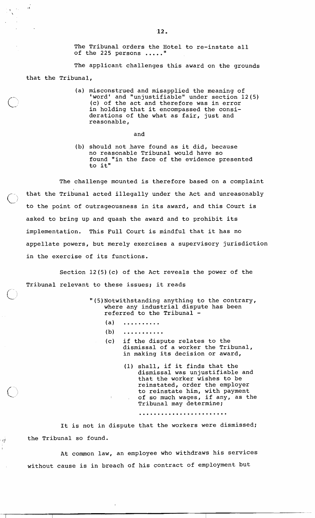The Tribuna,l orders the Hotel to re-instate all of the 225 persons ....."

The applicant challenges this award on the grounds that the Tribunal,

 $\overline{13}$ 

(a) misconstrued and misapplied the meaning of 'word' and "unjustifiable" under section 12(5) (c) of the act and therefore was in error in holding that it encompassed the considerations of the what as fair, just and reasonable,

and

(b) should not,have found as it did, because no reasonable Tribunal would have so found "in the face of the evidence presented to it"

The challenge mounted is therefore based on a complaint that the Tribunal acted illegally under the Act and unreasonably to the point of outrageousness in its award, and this Court is asked to bring up and quash the award and to prohibit its implementation. This Full Court is mindful that it has no appellate powers, but merely exercises a supervisory jurisdiction in the exercise of its functions.

Section 12 (5) (c) of the Act reveals the power of the Tribunal relevant to these issues; it reads

> "(5)Notwithstanding anything to the contrary, where any industrial dispute has been referred to the Tribunal -

- (a) ..........
- (b) ...........
- (c) if the dispute relates to the dismissal of a worker the Tribunal, in making its decision or award,
	- (1) shall, if it finds that the dismissal was unjustifiable and that the worker wishes to be reinstated, order the employer to reinstate him, with payment of so much wages, if any, as the Tribunal may determine;

It is not in dispute that the workers were dismissed;  $\frac{1}{1+\frac{1}{2}}$  the Tribunal so found.

> At common law, an employee who withdraws his services without cause is in breach of his contract of employment but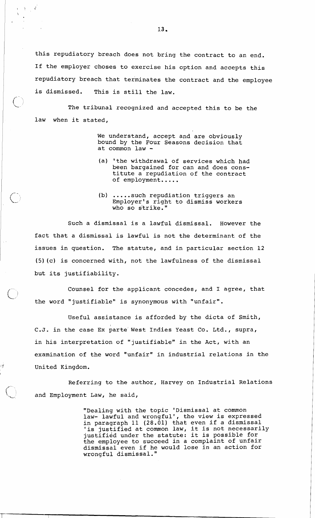this repudiatory breach does not bring the contract to an end. If the employer choses to exercise his option and accepts this repudiatory breach that terminates the contract and the employee is dismissed. This is still the law.

 $\Delta \Sigma_{\rm eff}$ 

The tribunal recognized and accepted this to be the law when it stated,

> We understand, accept and are obviously bound by the Four Seasons decision that at common law -

- (a) 'the withdrawal of services which had been bargained for can and does constitute a repudiation of the contract of employment.....
- (b) ..... such repudiation triggers an Employer's right to dismiss workers who so strike.'

Such a dismissal is a lawful dismissal. However the fact that a dismissal is lawful is not the determinant of the issues in question. The statute, and in particular section 12 (5)(c) is concerned with, not the lawfulness of the dismissal but its justifiability.

Counsel for the applicant concedes, and I agree, that the word "justifiable" is synonymous with "unfair".

Useful assistance is afforded by the dicta of Smith, C. **J.** in the case Ex parte' West Indies Yeast Co. Ltd. , supra, in his interpretation of "justifiable" in the Act, with an examination of the word "unfair" in industrial relations in the  $1$ <sup>"</sup> United Kingdom.

> Referring to the author, Harvey on Industrial Relations and Employment Law, he said,

> > "Dealing with the topic 'Dismissal at common law- lawful and wrongful', the view is expressed In paragraph 11 (28.01) that even if a dismissal In paragraph it (20.01) that even it a dismissar<br>is justified at common law, it is not necessarily Is justified at common law, it is not necessary<br>justified under the statute: it is possible for the employee to succeed in a complaint of unfair dismissal even if he would lose in an action for wrongful dismissal."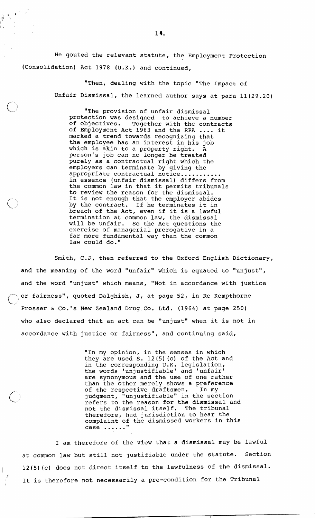He qouted the relevant statute, the Employment Protection (Consolidation) Act 1978 (U.K.) and continued,

> "Then, dealing with the topic "The Impact of Unfair Dismissal, the learned author says at para ll(29.20)

"The provision of unfair dismissal protection was designed to achieve a number Together with the contracts of Employment Act 1963 and the RPA .... it marked a trend towards recognizing that the employee has an interest in his job which is akin to a property right. A person's job can no longer be treated purely as a contractual right which the employers can terminate by giving the appropriate contractual notice........... in essence (unfair dismissal) differs from the common law in that it permits tribunals to review the reason for the dismissal. It is not enough that the employer abides<br>by the contract. If he terminates it in by the contract. If he terminates it in<br>breach of the Act, even if it is a lawful termination at common law, the dismissal will be unfair. So the Act questions the exercise of managerial prerogative in a far more fundamental way than the common law could do."

Smith, C.J, then referred to the Oxford English Dictionary, and the meaning of the word "unfair" which is equated to "unjust", and the word "unjust" which means, "Not in accordance with justice ,,or fairness", quoted Dalghish, J, at page 52, in Re Kempthorne Prosser & Co.'s New Zealand Drug Co. Ltd. (1964) at page 250) who also declared that an act can be "unjust" when it is not in accordance with justice or fairness", and continuing said,

> "In my opinion, in the senses in which they are used S. 12(5) (c) of the Act and in the corresponding U.K. legislation, the words 'unjustifiable' and 'unfair' are synonymous and the use of one rather than the other merely shows a preference<br>of the respective draftsmen. In my of the respective draftsmen. judgment, "unjustifiable" in the section refers to the reason for the dismissal and<br>not the dismissal itself. The tribunal not the dismissal itself. therefore, had jurisdiction to hear the complaint of the dismissed workers in this case ......"

I am therefore of the view that a dismissal may be lawful at common law but still not justifiable under the statute. Section <sup>I</sup>12(5)(c) does not direct itself to the lawfulness of the dismissal. It is therefore not necessarily a pre-condition for the Tribunal

<sup>I</sup>Ill

ήÀ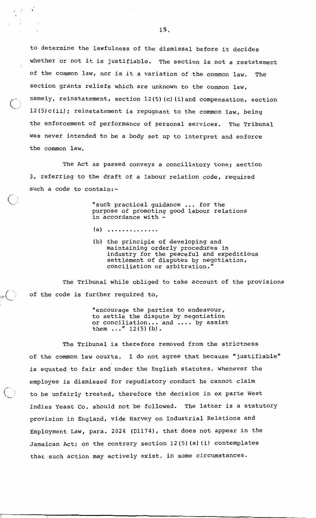to determine the lawfulness of the dismissal before it decides whether or not it is justifiable. The section is not a restatement of the common law, nor is it a variation of the common law. The section grants reliefs which are unknown to the common law, namely, reinstatement, section 12(5)(c)(i)and compensation, section 12(5)c(ii); reinstatement is repugnant to the common law, being the enforcement of performance of personal services. The Tribunal was never intended to be a body set up to interpret and enforce the common law.

The Act as passed conveys a conciliatory tone; section 3, referring to the draft of a labour relation code, required such a code to contain:-

> "such practical guidance ... for the purpose of promoting good labour relations in accordance with -

- $(a)$  .............
- (b) the principle of developing and maintaining orderly procedures in industry for the peaceful and expeditious settlement of disputes by negotiation, conciliation or arbitration."

The Tribunal while obliged to take account of the provisions  $\mathcal{I}_{\mathbb{P}}(\bigcup_{\mathbb{P}}$  of the code is further required to,

> "encourage the parties to endeavour, to settle the dispute by negotiation or conciliation ... and .... by assist or conciliation... and .... by assist<br>them ..."  $12(5)$  (b).

The Tribunal is therefore removed from the strictness of the common law courts. I do not agree that because "justifiable" is equated to fair and under the English statutes, whenever the employee is dismissed for repudiatory conduct he cannot claim to be unfairly treated, therefore the decision in ex parte West Indies Yeast Co. should not be followed. The latter is a statutory provision in England, vide Harvey on Industrial Relations and Employment Law, para. 2024 (D1174), that does not appear in the Jamaican Act: on the contrary section 12(5)(a)(i) contemplates that such action may actively exist, in some circumstances.

 $\chi^2$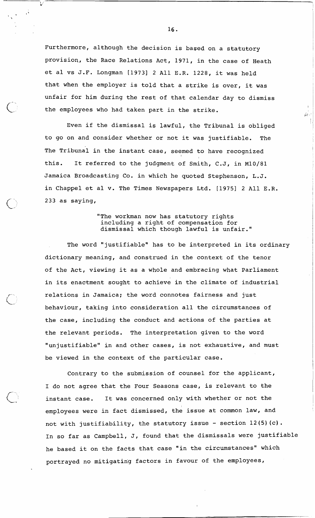Furthermore, although the decision is based on a statutory provision, the Race Relations Act, 1971, in the case of Heath et al vs J.F. Longman [1973] 2 All E.R. 1228, it was held that when the employer is told that a strike is over, it was unfair for him during the rest of that calendar day to dismiss<br>
the employees who had taken part in the strike.

 $\ddot{\phantom{a}}$ 

Even if the dismissal is lawful, the Tribunal is obliged to go on and consider whether or not it was justifiable. The The Tribunal in the instant case, seemed to have recognized this. It referred to the judgment of Smith, C.J, in M10/81 Jamaica Broadcasting Co. in which he quoted Stephenson, L.J. in Chappel et al v. The Times Newspapers Ltd. [1975] 2 All E.R. 233 as saying,

## "The workman now has statutory rights including a right of compensation for dismissal which though lawful is unfair."

The word "justifiable" has to be interpreted in its ordinary dictionary meaning, and construed in the context of the tenor of the Act, viewing it as a whole and embracing what Parliament in its enactment sought to achieve in the climate of industrial relations in Jamaica; the word connotes fairness and just behaviour, taking into consideration all the circumstances of the case, including the conduct and actions of the parties at the relevant periods. The interpretation given to the word "unjustifiable" in and other cases, is not exhaustive, and must be viewed in the context of the particular case.

Contrary to the submission of counsel for the applicant, I do not agree that the Four Seasons case, is relevant to the instant case. It was concerned only with whether or not the employees were in fact dismissed, the issue at common law, and not with justifiability, the statutory issue - section 12(5) (c). In so far as Campbell, J, found that the dismissals were justifiable he based it on the facts that case "in the circumstances" which portrayed no mitigating factors in favour of the employees,

 $16.$ 

毒化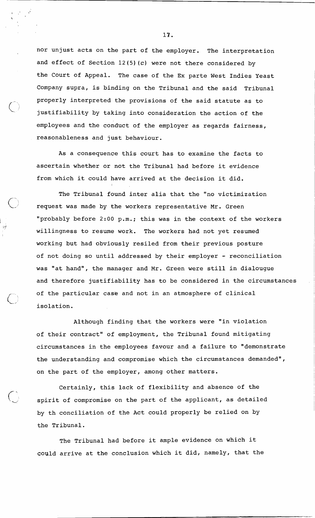nor unjust acts on the part of the employer. The interpretation and effect of Section  $12(5)(c)$  were not there considered by the Court of Appeal. The case of the Ex parte West Indies Yeast Company supra, is binding on the Tribunal and the said Tribunal properly interpreted the provisions of the said statute as to justifiability by taking into consideration the action of the employees and the conduct of the employer as regards fairness, reasonableness and just behaviour.

As a consequence this court has to examine the facts to ascertain whether or not the Tribunal had before it evidence from which it could have arrived at the decision it did.

I

The Tribunal found inter alia that the "no victimization request was made by the workers representative Mr. Green "probably before 2:00 p.m.; this was in the context of the workers willingness to resume work. The workers had not yet resumed working but had obviously resiled from their previous posture of not doing so until addressed by their employer - reconciliation was "at hand", the manager and Mr. Green were still in dialougue and therefore justifiability has to be considered in the circumstances of the particular case and not in an atmosphere of clinical isolation.

Although finding that the workers were "in violation of their contract" of employment, the Tribunal found mitigating circumstances in the employees favour and a failure to "demonstrate the understanding and compromise which the circumstances demanded", on the part of the employer, among other matters.

Certainly, this lack of flexibility and absence of the spirit of compromise on the part of the applicant, as detailed by th conciliation of the Act could properly be relied on by the Tribunal.

The Tribunal had before it ample evidence on which it Could arrive at the conclusion which it did, namely, that the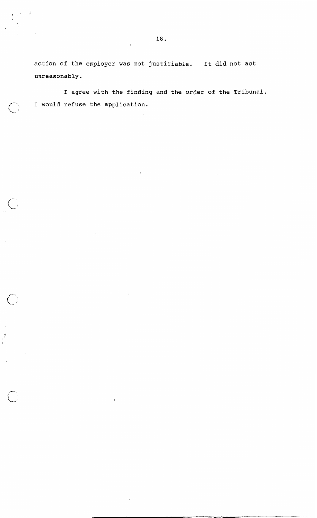**action of the employer was not justifiable. It did not act unreasonably.** 

 $\mathcal{A}$ 

 $\left\langle \cdot \right\rangle$ 

 $\binom{1}{2}$ 

اړن

**I agree with the finding and the order of the Tribunal. I would refuse the application.**